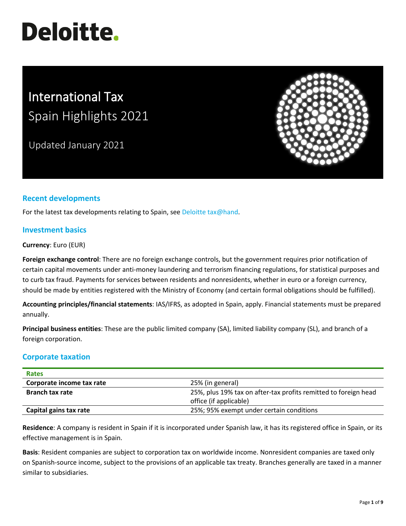# **Deloitte.**

# International Tax Spain Highlights 2021

Updated January 2021



## **Recent developments**

For the latest tax developments relating to Spain, se[e Deloitte tax@hand.](https://www.taxathand.com/world-news/Spain)

#### **Investment basics**

#### **Currency**: Euro (EUR)

**Foreign exchange control**: There are no foreign exchange controls, but the government requires prior notification of certain capital movements under anti-money laundering and terrorism financing regulations, for statistical purposes and to curb tax fraud. Payments for services between residents and nonresidents, whether in euro or a foreign currency, should be made by entities registered with the Ministry of Economy (and certain formal obligations should be fulfilled).

**Accounting principles/financial statements**: IAS/IFRS, as adopted in Spain, apply. Financial statements must be prepared annually.

**Principal business entities**: These are the public limited company (SA), limited liability company (SL), and branch of a foreign corporation.

#### **Corporate taxation**

| <b>Rates</b>              |                                                                 |
|---------------------------|-----------------------------------------------------------------|
| Corporate income tax rate | 25% (in general)                                                |
| <b>Branch tax rate</b>    | 25%, plus 19% tax on after-tax profits remitted to foreign head |
|                           | office (if applicable)                                          |
| Capital gains tax rate    | 25%; 95% exempt under certain conditions                        |

**Residence**: A company is resident in Spain if it is incorporated under Spanish law, it has its registered office in Spain, or its effective management is in Spain.

**Basis**: Resident companies are subject to corporation tax on worldwide income. Nonresident companies are taxed only on Spanish-source income, subject to the provisions of an applicable tax treaty. Branches generally are taxed in a manner similar to subsidiaries.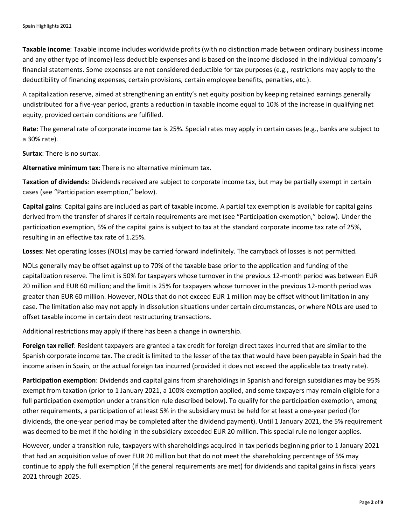**Taxable income**: Taxable income includes worldwide profits (with no distinction made between ordinary business income and any other type of income) less deductible expenses and is based on the income disclosed in the individual company's financial statements. Some expenses are not considered deductible for tax purposes (e.g., restrictions may apply to the deductibility of financing expenses, certain provisions, certain employee benefits, penalties, etc.).

A capitalization reserve, aimed at strengthening an entity's net equity position by keeping retained earnings generally undistributed for a five-year period, grants a reduction in taxable income equal to 10% of the increase in qualifying net equity, provided certain conditions are fulfilled.

**Rate**: The general rate of corporate income tax is 25%. Special rates may apply in certain cases (e.g., banks are subject to a 30% rate).

**Surtax**: There is no surtax.

**Alternative minimum tax**: There is no alternative minimum tax.

**Taxation of dividends**: Dividends received are subject to corporate income tax, but may be partially exempt in certain cases (see "Participation exemption," below).

**Capital gains**: Capital gains are included as part of taxable income. A partial tax exemption is available for capital gains derived from the transfer of shares if certain requirements are met (see "Participation exemption," below). Under the participation exemption, 5% of the capital gains is subject to tax at the standard corporate income tax rate of 25%, resulting in an effective tax rate of 1.25%.

**Losses**: Net operating losses (NOLs) may be carried forward indefinitely. The carryback of losses is not permitted.

NOLs generally may be offset against up to 70% of the taxable base prior to the application and funding of the capitalization reserve. The limit is 50% for taxpayers whose turnover in the previous 12-month period was between EUR 20 million and EUR 60 million; and the limit is 25% for taxpayers whose turnover in the previous 12-month period was greater than EUR 60 million. However, NOLs that do not exceed EUR 1 million may be offset without limitation in any case. The limitation also may not apply in dissolution situations under certain circumstances, or where NOLs are used to offset taxable income in certain debt restructuring transactions.

Additional restrictions may apply if there has been a change in ownership.

**Foreign tax relief**: Resident taxpayers are granted a tax credit for foreign direct taxes incurred that are similar to the Spanish corporate income tax. The credit is limited to the lesser of the tax that would have been payable in Spain had the income arisen in Spain, or the actual foreign tax incurred (provided it does not exceed the applicable tax treaty rate).

**Participation exemption**: Dividends and capital gains from shareholdings in Spanish and foreign subsidiaries may be 95% exempt from taxation (prior to 1 January 2021, a 100% exemption applied, and some taxpayers may remain eligible for a full participation exemption under a transition rule described below). To qualify for the participation exemption, among other requirements, a participation of at least 5% in the subsidiary must be held for at least a one-year period (for dividends, the one-year period may be completed after the dividend payment). Until 1 January 2021, the 5% requirement was deemed to be met if the holding in the subsidiary exceeded EUR 20 million. This special rule no longer applies.

However, under a transition rule, taxpayers with shareholdings acquired in tax periods beginning prior to 1 January 2021 that had an acquisition value of over EUR 20 million but that do not meet the shareholding percentage of 5% may continue to apply the full exemption (if the general requirements are met) for dividends and capital gains in fiscal years 2021 through 2025.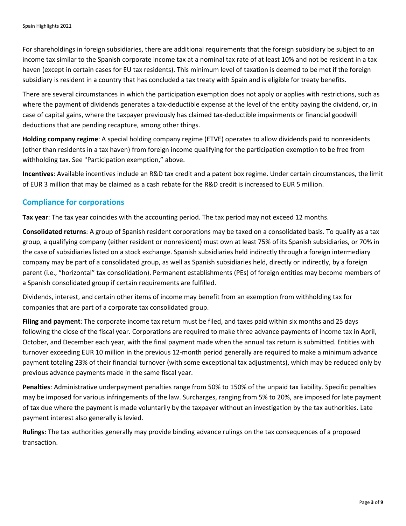For shareholdings in foreign subsidiaries, there are additional requirements that the foreign subsidiary be subject to an income tax similar to the Spanish corporate income tax at a nominal tax rate of at least 10% and not be resident in a tax haven (except in certain cases for EU tax residents). This minimum level of taxation is deemed to be met if the foreign subsidiary is resident in a country that has concluded a tax treaty with Spain and is eligible for treaty benefits.

There are several circumstances in which the participation exemption does not apply or applies with restrictions, such as where the payment of dividends generates a tax-deductible expense at the level of the entity paying the dividend, or, in case of capital gains, where the taxpayer previously has claimed tax-deductible impairments or financial goodwill deductions that are pending recapture, among other things.

**Holding company regime**: A special holding company regime (ETVE) operates to allow dividends paid to nonresidents (other than residents in a tax haven) from foreign income qualifying for the participation exemption to be free from withholding tax. See "Participation exemption," above.

**Incentives**: Available incentives include an R&D tax credit and a patent box regime. Under certain circumstances, the limit of EUR 3 million that may be claimed as a cash rebate for the R&D credit is increased to EUR 5 million.

#### **Compliance for corporations**

**Tax year**: The tax year coincides with the accounting period. The tax period may not exceed 12 months.

**Consolidated returns**: A group of Spanish resident corporations may be taxed on a consolidated basis. To qualify as a tax group, a qualifying company (either resident or nonresident) must own at least 75% of its Spanish subsidiaries, or 70% in the case of subsidiaries listed on a stock exchange. Spanish subsidiaries held indirectly through a foreign intermediary company may be part of a consolidated group, as well as Spanish subsidiaries held, directly or indirectly, by a foreign parent (i.e., "horizontal" tax consolidation). Permanent establishments (PEs) of foreign entities may become members of a Spanish consolidated group if certain requirements are fulfilled.

Dividends, interest, and certain other items of income may benefit from an exemption from withholding tax for companies that are part of a corporate tax consolidated group.

**Filing and payment**: The corporate income tax return must be filed, and taxes paid within six months and 25 days following the close of the fiscal year. Corporations are required to make three advance payments of income tax in April, October, and December each year, with the final payment made when the annual tax return is submitted. Entities with turnover exceeding EUR 10 million in the previous 12-month period generally are required to make a minimum advance payment totaling 23% of their financial turnover (with some exceptional tax adjustments), which may be reduced only by previous advance payments made in the same fiscal year.

**Penalties**: Administrative underpayment penalties range from 50% to 150% of the unpaid tax liability. Specific penalties may be imposed for various infringements of the law. Surcharges, ranging from 5% to 20%, are imposed for late payment of tax due where the payment is made voluntarily by the taxpayer without an investigation by the tax authorities. Late payment interest also generally is levied.

**Rulings**: The tax authorities generally may provide binding advance rulings on the tax consequences of a proposed transaction.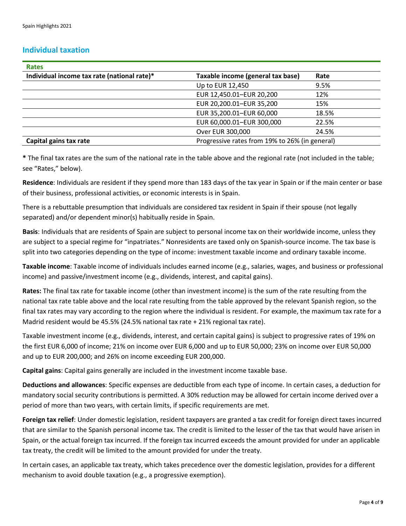#### **Individual taxation**

| <b>Rates</b>                                |                                                |       |
|---------------------------------------------|------------------------------------------------|-------|
| Individual income tax rate (national rate)* | Taxable income (general tax base)              | Rate  |
|                                             | Up to EUR 12,450                               | 9.5%  |
|                                             | EUR 12,450.01-EUR 20,200                       | 12%   |
|                                             | EUR 20,200.01-EUR 35,200                       | 15%   |
|                                             | EUR 35,200.01-EUR 60,000                       | 18.5% |
|                                             | EUR 60,000.01-EUR 300,000                      | 22.5% |
|                                             | Over EUR 300,000                               | 24.5% |
| Capital gains tax rate                      | Progressive rates from 19% to 26% (in general) |       |

**\*** The final tax rates are the sum of the national rate in the table above and the regional rate (not included in the table; see "Rates," below).

**Residence**: Individuals are resident if they spend more than 183 days of the tax year in Spain or if the main center or base of their business, professional activities, or economic interests is in Spain.

There is a rebuttable presumption that individuals are considered tax resident in Spain if their spouse (not legally separated) and/or dependent minor(s) habitually reside in Spain.

**Basis**: Individuals that are residents of Spain are subject to personal income tax on their worldwide income, unless they are subject to a special regime for "inpatriates." Nonresidents are taxed only on Spanish-source income. The tax base is split into two categories depending on the type of income: investment taxable income and ordinary taxable income.

**Taxable income**: Taxable income of individuals includes earned income (e.g., salaries, wages, and business or professional income) and passive/investment income (e.g., dividends, interest, and capital gains).

**Rates:** The final tax rate for taxable income (other than investment income) is the sum of the rate resulting from the national tax rate table above and the local rate resulting from the table approved by the relevant Spanish region, so the final tax rates may vary according to the region where the individual is resident. For example, the maximum tax rate for a Madrid resident would be 45.5% (24.5% national tax rate + 21% regional tax rate).

Taxable investment income (e.g., dividends, interest, and certain capital gains) is subject to progressive rates of 19% on the first EUR 6,000 of income; 21% on income over EUR 6,000 and up to EUR 50,000; 23% on income over EUR 50,000 and up to EUR 200,000; and 26% on income exceeding EUR 200,000.

**Capital gains**: Capital gains generally are included in the investment income taxable base.

**Deductions and allowances**: Specific expenses are deductible from each type of income. In certain cases, a deduction for mandatory social security contributions is permitted. A 30% reduction may be allowed for certain income derived over a period of more than two years, with certain limits, if specific requirements are met.

**Foreign tax relief**: Under domestic legislation, resident taxpayers are granted a tax credit for foreign direct taxes incurred that are similar to the Spanish personal income tax. The credit is limited to the lesser of the tax that would have arisen in Spain, or the actual foreign tax incurred. If the foreign tax incurred exceeds the amount provided for under an applicable tax treaty, the credit will be limited to the amount provided for under the treaty.

In certain cases, an applicable tax treaty, which takes precedence over the domestic legislation, provides for a different mechanism to avoid double taxation (e.g., a progressive exemption).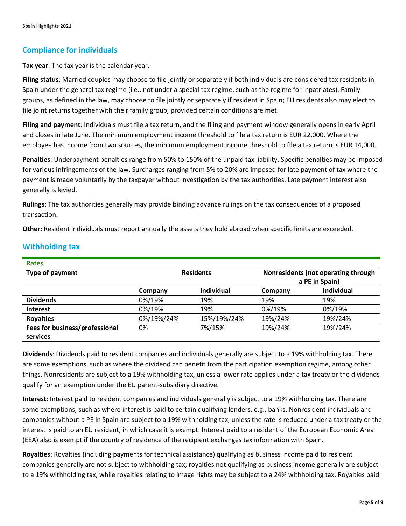#### **Compliance for individuals**

**Tax year**: The tax year is the calendar year.

**Filing status**: Married couples may choose to file jointly or separately if both individuals are considered tax residents in Spain under the general tax regime (i.e., not under a special tax regime, such as the regime for inpatriates). Family groups, as defined in the law, may choose to file jointly or separately if resident in Spain; EU residents also may elect to file joint returns together with their family group, provided certain conditions are met.

**Filing and payment**: Individuals must file a tax return, and the filing and payment window generally opens in early April and closes in late June. The minimum employment income threshold to file a tax return is EUR 22,000. Where the employee has income from two sources, the minimum employment income threshold to file a tax return is EUR 14,000.

**Penalties**: Underpayment penalties range from 50% to 150% of the unpaid tax liability. Specific penalties may be imposed for various infringements of the law. Surcharges ranging from 5% to 20% are imposed for late payment of tax where the payment is made voluntarily by the taxpayer without investigation by the tax authorities. Late payment interest also generally is levied.

**Rulings**: The tax authorities generally may provide binding advance rulings on the tax consequences of a proposed transaction.

**Other:** Resident individuals must report annually the assets they hold abroad when specific limits are exceeded.

| <b>Rates</b>                   |                  |                   |                                     |                   |
|--------------------------------|------------------|-------------------|-------------------------------------|-------------------|
| Type of payment                | <b>Residents</b> |                   | Nonresidents (not operating through |                   |
|                                |                  |                   | a PE in Spain)                      |                   |
|                                | Company          | <b>Individual</b> | Company                             | <b>Individual</b> |
| <b>Dividends</b>               | 0%/19%           | 19%               | 19%                                 | 19%               |
| <b>Interest</b>                | 0%/19%           | 19%               | 0%/19%                              | 0%/19%            |
| <b>Royalties</b>               | 0%/19%/24%       | 15%/19%/24%       | 19%/24%                             | 19%/24%           |
| Fees for business/professional | 0%               | 7%/15%            | 19%/24%                             | 19%/24%           |
| services                       |                  |                   |                                     |                   |

## **Withholding tax**

**Dividends**: Dividends paid to resident companies and individuals generally are subject to a 19% withholding tax. There are some exemptions, such as where the dividend can benefit from the participation exemption regime, among other things. Nonresidents are subject to a 19% withholding tax, unless a lower rate applies under a tax treaty or the dividends qualify for an exemption under the EU parent-subsidiary directive.

**Interest**: Interest paid to resident companies and individuals generally is subject to a 19% withholding tax. There are some exemptions, such as where interest is paid to certain qualifying lenders, e.g., banks. Nonresident individuals and companies without a PE in Spain are subject to a 19% withholding tax, unless the rate is reduced under a tax treaty or the interest is paid to an EU resident, in which case it is exempt. Interest paid to a resident of the European Economic Area (EEA) also is exempt if the country of residence of the recipient exchanges tax information with Spain.

**Royalties**: Royalties (including payments for technical assistance) qualifying as business income paid to resident companies generally are not subject to withholding tax; royalties not qualifying as business income generally are subject to a 19% withholding tax, while royalties relating to image rights may be subject to a 24% withholding tax. Royalties paid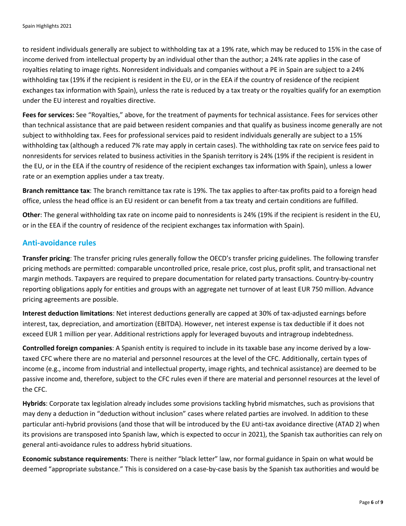to resident individuals generally are subject to withholding tax at a 19% rate, which may be reduced to 15% in the case of income derived from intellectual property by an individual other than the author; a 24% rate applies in the case of royalties relating to image rights. Nonresident individuals and companies without a PE in Spain are subject to a 24% withholding tax (19% if the recipient is resident in the EU, or in the EEA if the country of residence of the recipient exchanges tax information with Spain), unless the rate is reduced by a tax treaty or the royalties qualify for an exemption under the EU interest and royalties directive.

**Fees for services:** See "Royalties," above, for the treatment of payments for technical assistance. Fees for services other than technical assistance that are paid between resident companies and that qualify as business income generally are not subject to withholding tax. Fees for professional services paid to resident individuals generally are subject to a 15% withholding tax (although a reduced 7% rate may apply in certain cases). The withholding tax rate on service fees paid to nonresidents for services related to business activities in the Spanish territory is 24% (19% if the recipient is resident in the EU, or in the EEA if the country of residence of the recipient exchanges tax information with Spain), unless a lower rate or an exemption applies under a tax treaty.

**Branch remittance tax**: The branch remittance tax rate is 19%. The tax applies to after-tax profits paid to a foreign head office, unless the head office is an EU resident or can benefit from a tax treaty and certain conditions are fulfilled.

**Other**: The general withholding tax rate on income paid to nonresidents is 24% (19% if the recipient is resident in the EU, or in the EEA if the country of residence of the recipient exchanges tax information with Spain).

#### **Anti-avoidance rules**

**Transfer pricing**: The transfer pricing rules generally follow the OECD's transfer pricing guidelines. The following transfer pricing methods are permitted: comparable uncontrolled price, resale price, cost plus, profit split, and transactional net margin methods. Taxpayers are required to prepare documentation for related party transactions. Country-by-country reporting obligations apply for entities and groups with an aggregate net turnover of at least EUR 750 million. Advance pricing agreements are possible.

**Interest deduction limitations**: Net interest deductions generally are capped at 30% of tax-adjusted earnings before interest, tax, depreciation, and amortization (EBITDA). However, net interest expense is tax deductible if it does not exceed EUR 1 million per year. Additional restrictions apply for leveraged buyouts and intragroup indebtedness.

**Controlled foreign companies**: A Spanish entity is required to include in its taxable base any income derived by a lowtaxed CFC where there are no material and personnel resources at the level of the CFC. Additionally, certain types of income (e.g., income from industrial and intellectual property, image rights, and technical assistance) are deemed to be passive income and, therefore, subject to the CFC rules even if there are material and personnel resources at the level of the CFC.

**Hybrids**: Corporate tax legislation already includes some provisions tackling hybrid mismatches, such as provisions that may deny a deduction in "deduction without inclusion" cases where related parties are involved. In addition to these particular anti-hybrid provisions (and those that will be introduced by the EU anti-tax avoidance directive (ATAD 2) when its provisions are transposed into Spanish law, which is expected to occur in 2021), the Spanish tax authorities can rely on general anti-avoidance rules to address hybrid situations.

**Economic substance requirements**: There is neither "black letter" law, nor formal guidance in Spain on what would be deemed "appropriate substance." This is considered on a case-by-case basis by the Spanish tax authorities and would be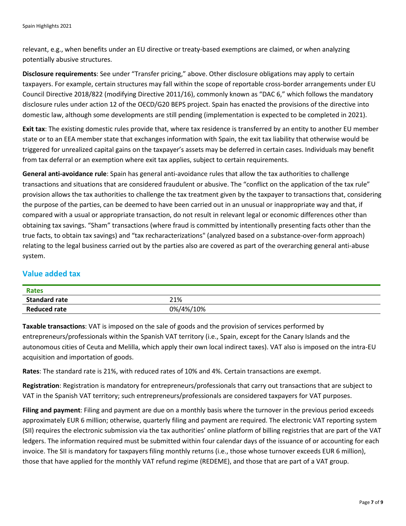relevant, e.g., when benefits under an EU directive or treaty-based exemptions are claimed, or when analyzing potentially abusive structures.

**Disclosure requirements**: See under "Transfer pricing," above. Other disclosure obligations may apply to certain taxpayers. For example, certain structures may fall within the scope of reportable cross-border arrangements under EU Council Directive 2018/822 (modifying Directive 2011/16), commonly known as "DAC 6," which follows the mandatory disclosure rules under action 12 of the OECD/G20 BEPS project. Spain has enacted the provisions of the directive into domestic law, although some developments are still pending (implementation is expected to be completed in 2021).

**Exit tax**: The existing domestic rules provide that, where tax residence is transferred by an entity to another EU member state or to an EEA member state that exchanges information with Spain, the exit tax liability that otherwise would be triggered for unrealized capital gains on the taxpayer's assets may be deferred in certain cases. Individuals may benefit from tax deferral or an exemption where exit tax applies, subject to certain requirements.

**General anti-avoidance rule**: Spain has general anti-avoidance rules that allow the tax authorities to challenge transactions and situations that are considered fraudulent or abusive. The "conflict on the application of the tax rule" provision allows the tax authorities to challenge the tax treatment given by the taxpayer to transactions that, considering the purpose of the parties, can be deemed to have been carried out in an unusual or inappropriate way and that, if compared with a usual or appropriate transaction, do not result in relevant legal or economic differences other than obtaining tax savings. "Sham" transactions (where fraud is committed by intentionally presenting facts other than the true facts, to obtain tax savings) and "tax recharacterizations" (analyzed based on a substance-over-form approach) relating to the legal business carried out by the parties also are covered as part of the overarching general anti-abuse system.

#### **Value added tax**

| <b>Rates</b>         |           |
|----------------------|-----------|
| <b>Standard rate</b> | 21%       |
| <b>Reduced rate</b>  | 0%/4%/10% |

**Taxable transactions**: VAT is imposed on the sale of goods and the provision of services performed by entrepreneurs/professionals within the Spanish VAT territory (i.e., Spain, except for the Canary Islands and the autonomous cities of Ceuta and Melilla, which apply their own local indirect taxes). VAT also is imposed on the intra-EU acquisition and importation of goods.

**Rates**: The standard rate is 21%, with reduced rates of 10% and 4%. Certain transactions are exempt.

**Registration**: Registration is mandatory for entrepreneurs/professionals that carry out transactions that are subject to VAT in the Spanish VAT territory; such entrepreneurs/professionals are considered taxpayers for VAT purposes.

**Filing and payment**: Filing and payment are due on a monthly basis where the turnover in the previous period exceeds approximately EUR 6 million; otherwise, quarterly filing and payment are required. The electronic VAT reporting system (SII) requires the electronic submission via the tax authorities' online platform of billing registries that are part of the VAT ledgers. The information required must be submitted within four calendar days of the issuance of or accounting for each invoice. The SII is mandatory for taxpayers filing monthly returns (i.e., those whose turnover exceeds EUR 6 million), those that have applied for the monthly VAT refund regime (REDEME), and those that are part of a VAT group.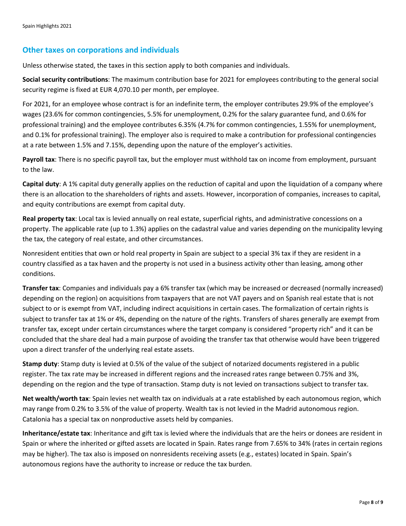#### **Other taxes on corporations and individuals**

Unless otherwise stated, the taxes in this section apply to both companies and individuals.

**Social security contributions**: The maximum contribution base for 2021 for employees contributing to the general social security regime is fixed at EUR 4,070.10 per month, per employee.

For 2021, for an employee whose contract is for an indefinite term, the employer contributes 29.9% of the employee's wages (23.6% for common contingencies, 5.5% for unemployment, 0.2% for the salary guarantee fund, and 0.6% for professional training) and the employee contributes 6.35% (4.7% for common contingencies, 1.55% for unemployment, and 0.1% for professional training). The employer also is required to make a contribution for professional contingencies at a rate between 1.5% and 7.15%, depending upon the nature of the employer's activities.

**Payroll tax**: There is no specific payroll tax, but the employer must withhold tax on income from employment, pursuant to the law.

**Capital duty**: A 1% capital duty generally applies on the reduction of capital and upon the liquidation of a company where there is an allocation to the shareholders of rights and assets. However, incorporation of companies, increases to capital, and equity contributions are exempt from capital duty.

**Real property tax**: Local tax is levied annually on real estate, superficial rights, and administrative concessions on a property. The applicable rate (up to 1.3%) applies on the cadastral value and varies depending on the municipality levying the tax, the category of real estate, and other circumstances.

Nonresident entities that own or hold real property in Spain are subject to a special 3% tax if they are resident in a country classified as a tax haven and the property is not used in a business activity other than leasing, among other conditions.

**Transfer tax**: Companies and individuals pay a 6% transfer tax (which may be increased or decreased (normally increased) depending on the region) on acquisitions from taxpayers that are not VAT payers and on Spanish real estate that is not subject to or is exempt from VAT, including indirect acquisitions in certain cases. The formalization of certain rights is subject to transfer tax at 1% or 4%, depending on the nature of the rights. Transfers of shares generally are exempt from transfer tax, except under certain circumstances where the target company is considered "property rich" and it can be concluded that the share deal had a main purpose of avoiding the transfer tax that otherwise would have been triggered upon a direct transfer of the underlying real estate assets.

**Stamp duty**: Stamp duty is levied at 0.5% of the value of the subject of notarized documents registered in a public register. The tax rate may be increased in different regions and the increased rates range between 0.75% and 3%, depending on the region and the type of transaction. Stamp duty is not levied on transactions subject to transfer tax.

**Net wealth/worth tax**: Spain levies net wealth tax on individuals at a rate established by each autonomous region, which may range from 0.2% to 3.5% of the value of property. Wealth tax is not levied in the Madrid autonomous region. Catalonia has a special tax on nonproductive assets held by companies.

**Inheritance/estate tax**: Inheritance and gift tax is levied where the individuals that are the heirs or donees are resident in Spain or where the inherited or gifted assets are located in Spain. Rates range from 7.65% to 34% (rates in certain regions may be higher). The tax also is imposed on nonresidents receiving assets (e.g., estates) located in Spain. Spain's autonomous regions have the authority to increase or reduce the tax burden.